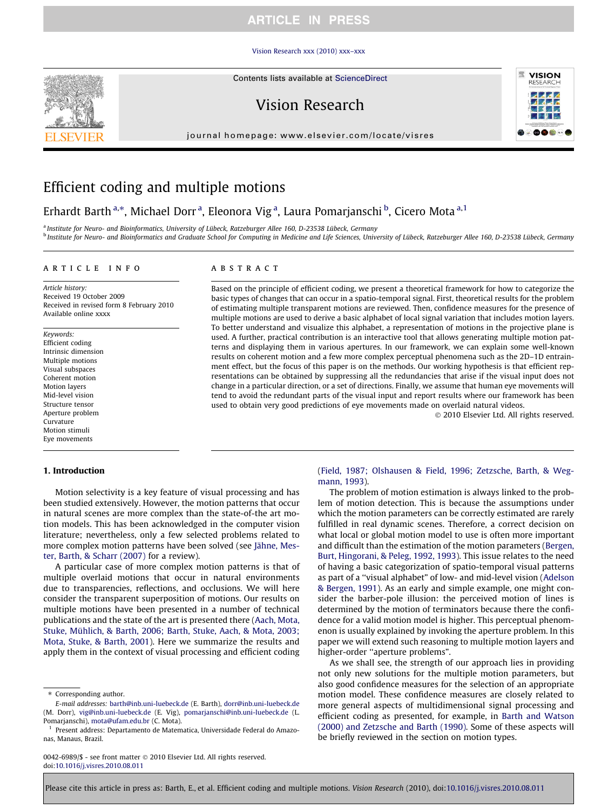# **ARTICLE IN PRESS**

#### [Vision Research xxx \(2010\) xxx–xxx](http://dx.doi.org/10.1016/j.visres.2010.08.011)

Contents lists available at [ScienceDirect](http://www.sciencedirect.com/science/journal/00426989)

# Vision Research

journal homepage: [www.elsevier.com/locate/visres](http://www.elsevier.com/locate/visres)



# Efficient coding and multiple motions

# Erhardt Barth<sup>a,</sup>\*, Michael Dorr<sup>a</sup>, Eleonora Vig<sup>a</sup>, Laura Pomarjanschi<sup>b</sup>, Cicero Mota<sup>a,1</sup>

a Institute for Neuro- and Bioinformatics, University of Lübeck, Ratzeburger Allee 160, D-23538 Lübeck, Germany <sup>b</sup> Institute for Neuro- and Bioinformatics and Graduate School for Computing in Medicine and Life Sciences, University of Lübeck, Ratzeburger Allee 160, D-23538 Lübeck, Germany

# article info

Article history: Received 19 October 2009 Received in revised form 8 February 2010 Available online xxxx

Keywords: Efficient coding Intrinsic dimension Multiple motions Visual subspaces Coherent motion Motion layers Mid-level vision Structure tensor Aperture problem Curvature Motion stimuli Eye movements

### 1. Introduction

# Motion selectivity is a key feature of visual processing and has been studied extensively. However, the motion patterns that occur in natural scenes are more complex than the state-of-the art motion models. This has been acknowledged in the computer vision literature; nevertheless, only a few selected problems related to more complex motion patterns have been solved (see [Jähne, Mes](#page-9-0)[ter, Barth, & Scharr \(2007\)](#page-9-0) for a review).

A particular case of more complex motion patterns is that of multiple overlaid motions that occur in natural environments due to transparencies, reflections, and occlusions. We will here consider the transparent superposition of motions. Our results on multiple motions have been presented in a number of technical publications and the state of the art is presented there ([Aach, Mota,](#page-9-0) [Stuke, Mühlich, & Barth, 2006; Barth, Stuke, Aach, & Mota, 2003;](#page-9-0) [Mota, Stuke, & Barth, 2001\)](#page-9-0). Here we summarize the results and apply them in the context of visual processing and efficient coding

\* Corresponding author.

0042-6989/\$ - see front matter © 2010 Elsevier Ltd. All rights reserved. doi[:10.1016/j.visres.2010.08.011](http://dx.doi.org/10.1016/j.visres.2010.08.011)

# **ABSTRACT**

Based on the principle of efficient coding, we present a theoretical framework for how to categorize the basic types of changes that can occur in a spatio-temporal signal. First, theoretical results for the problem of estimating multiple transparent motions are reviewed. Then, confidence measures for the presence of multiple motions are used to derive a basic alphabet of local signal variation that includes motion layers. To better understand and visualize this alphabet, a representation of motions in the projective plane is used. A further, practical contribution is an interactive tool that allows generating multiple motion patterns and displaying them in various apertures. In our framework, we can explain some well-known results on coherent motion and a few more complex perceptual phenomena such as the 2D–1D entrainment effect, but the focus of this paper is on the methods. Our working hypothesis is that efficient representations can be obtained by suppressing all the redundancies that arise if the visual input does not change in a particular direction, or a set of directions. Finally, we assume that human eye movements will tend to avoid the redundant parts of the visual input and report results where our framework has been used to obtain very good predictions of eye movements made on overlaid natural videos.

- 2010 Elsevier Ltd. All rights reserved.

([Field, 1987; Olshausen & Field, 1996; Zetzsche, Barth, & Weg](#page-9-0)[mann, 1993\)](#page-9-0).

The problem of motion estimation is always linked to the problem of motion detection. This is because the assumptions under which the motion parameters can be correctly estimated are rarely fulfilled in real dynamic scenes. Therefore, a correct decision on what local or global motion model to use is often more important and difficult than the estimation of the motion parameters ([Bergen,](#page-9-0) [Burt, Hingorani, & Peleg, 1992, 1993](#page-9-0)). This issue relates to the need of having a basic categorization of spatio-temporal visual patterns as part of a ''visual alphabet" of low- and mid-level vision [\(Adelson](#page-9-0) [& Bergen, 1991\)](#page-9-0). As an early and simple example, one might consider the barber-pole illusion: the perceived motion of lines is determined by the motion of terminators because there the confidence for a valid motion model is higher. This perceptual phenomenon is usually explained by invoking the aperture problem. In this paper we will extend such reasoning to multiple motion layers and higher-order ''aperture problems".

As we shall see, the strength of our approach lies in providing not only new solutions for the multiple motion parameters, but also good confidence measures for the selection of an appropriate motion model. These confidence measures are closely related to more general aspects of multidimensional signal processing and efficient coding as presented, for example, in [Barth and Watson](#page-9-0) [\(2000\) and Zetzsche and Barth \(1990\).](#page-9-0) Some of these aspects will be briefly reviewed in the section on motion types.

E-mail addresses: [barth@inb.uni-luebeck.de](mailto:barth@inb.uni-luebeck.de) (E. Barth), [dorr@inb.uni-luebeck.de](mailto:dorr@inb.uni-luebeck.de) (M. Dorr), [vig@inb.uni-luebeck.de](mailto:vig@inb.uni-luebeck.de) (E. Vig), [pomarjanschi@inb.uni-luebeck.de](mailto:pomarjanschi@inb.uni-luebeck.de) (L. Pomarjanschi), [mota@ufam.edu.br](mailto:mota@ufam.edu.br) (C. Mota).

Present address: Departamento de Matematica, Universidade Federal do Amazonas, Manaus, Brazil.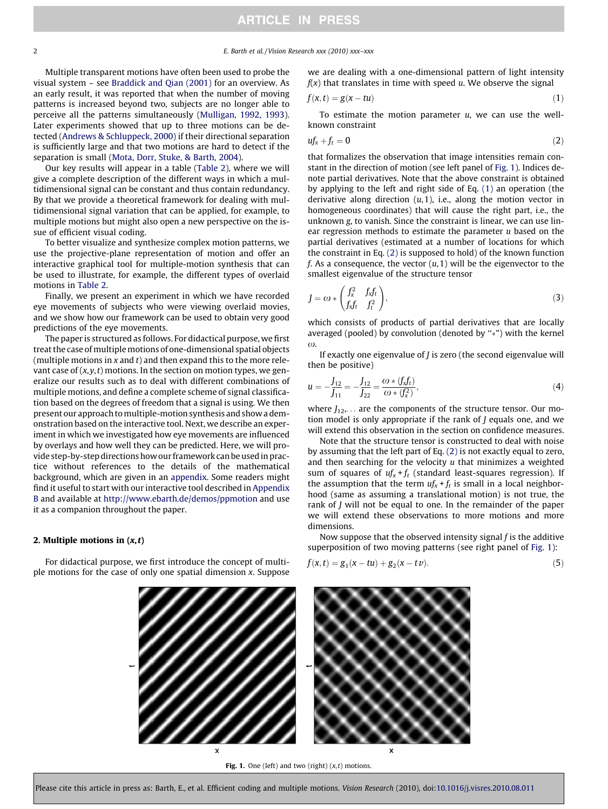<span id="page-1-0"></span>2 E. Barth et al. / Vision Research xxx (2010) xxx–xxx

Multiple transparent motions have often been used to probe the visual system – see [Braddick and Qian \(2001\)](#page-9-0) for an overview. As an early result, it was reported that when the number of moving patterns is increased beyond two, subjects are no longer able to perceive all the patterns simultaneously [\(Mulligan, 1992, 1993\)](#page-9-0). Later experiments showed that up to three motions can be detected [\(Andrews & Schluppeck, 2000\)](#page-9-0) if their directional separation is sufficiently large and that two motions are hard to detect if the separation is small ([Mota, Dorr, Stuke, & Barth, 2004](#page-9-0)).

Our key results will appear in a table [\(Table 2](#page-3-0)), where we will give a complete description of the different ways in which a multidimensional signal can be constant and thus contain redundancy. By that we provide a theoretical framework for dealing with multidimensional signal variation that can be applied, for example, to multiple motions but might also open a new perspective on the issue of efficient visual coding.

To better visualize and synthesize complex motion patterns, we use the projective-plane representation of motion and offer an interactive graphical tool for multiple-motion synthesis that can be used to illustrate, for example, the different types of overlaid motions in [Table 2](#page-3-0).

Finally, we present an experiment in which we have recorded eye movements of subjects who were viewing overlaid movies, and we show how our framework can be used to obtain very good predictions of the eye movements.

The paper is structured as follows. For didactical purpose, we first treat the case of multiplemotions of one-dimensional spatial objects (multiple motions in  $x$  and  $t$ ) and then expand this to the more relevant case of  $(x, y, t)$  motions. In the section on motion types, we generalize our results such as to deal with different combinations of multiple motions, and define a complete scheme of signal classification based on the degrees of freedom that a signal is using. We then present our approach to multiple-motion synthesis and show a demonstration based on the interactive tool. Next, we describe an experiment in which we investigated how eye movements are influenced by overlays and how well they can be predicted. Here, we will provide step-by-step directions how our framework can be used in practice without references to the details of the mathematical background, which are given in an [appendix.](#page-8-0) Some readers might find it useful to start with our interactive tool described in [Appendix](#page-8-0) [B](#page-8-0) and available at [http://www.ebarth.de/demos/ppmotion](http://www.ebarth.de/demos/) and use it as a companion throughout the paper.

#### 2. Multiple motions in  $(x, t)$

For didactical purpose, we first introduce the concept of multiple motions for the case of only one spatial dimension  $x$ . Suppose

we are dealing with a one-dimensional pattern of light intensity  $f(x)$  that translates in time with speed u. We observe the signal

$$
f(x,t) = g(x - tu)
$$
 (1)

To estimate the motion parameter  $u$ , we can use the wellknown constraint

$$
uf_x + f_t = 0 \tag{2}
$$

that formalizes the observation that image intensities remain constant in the direction of motion (see left panel of Fig. 1). Indices denote partial derivatives. Note that the above constraint is obtained by applying to the left and right side of Eq. (1) an operation (the derivative along direction  $(u,1)$ , i.e., along the motion vector in homogeneous coordinates) that will cause the right part, i.e., the unknown g, to vanish. Since the constraint is linear, we can use linear regression methods to estimate the parameter u based on the partial derivatives (estimated at a number of locations for which the constraint in Eq. (2) is supposed to hold) of the known function f. As a consequence, the vector  $(u,1)$  will be the eigenvector to the smallest eigenvalue of the structure tensor

$$
J = \omega * \begin{pmatrix} f_x^2 & f_x f_t \\ f_x f_t & f_t^2 \end{pmatrix},
$$
 (3)

which consists of products of partial derivatives that are locally averaged (pooled) by convolution (denoted by "\*") with the kernel  $\omega$ .

If exactly one eigenvalue of  $J$  is zero (the second eigenvalue will then be positive)

$$
u = -\frac{J_{12}}{J_{11}} = -\frac{J_{12}}{J_{22}} = \frac{\omega * (f_x f_t)}{\omega * (f_x^2)},
$$
(4)

where  $J_{12}$ ... are the components of the structure tensor. Our motion model is only appropriate if the rank of J equals one, and we will extend this observation in the section on confidence measures.

Note that the structure tensor is constructed to deal with noise by assuming that the left part of Eq. (2) is not exactly equal to zero, and then searching for the velocity  $u$  that minimizes a weighted sum of squares of  $uf_x + f_t$  (standard least-squares regression). If the assumption that the term  $uf_x + f_t$  is small in a local neighborhood (same as assuming a translational motion) is not true, the rank of J will not be equal to one. In the remainder of the paper we will extend these observations to more motions and more dimensions.

Now suppose that the observed intensity signal  $f$  is the additive superposition of two moving patterns (see right panel of Fig. 1):

$$
f(x,t) = g_1(x - tu) + g_2(x - tv).
$$
 (5)



Fig. 1. One (left) and two (right)  $(x, t)$  motions.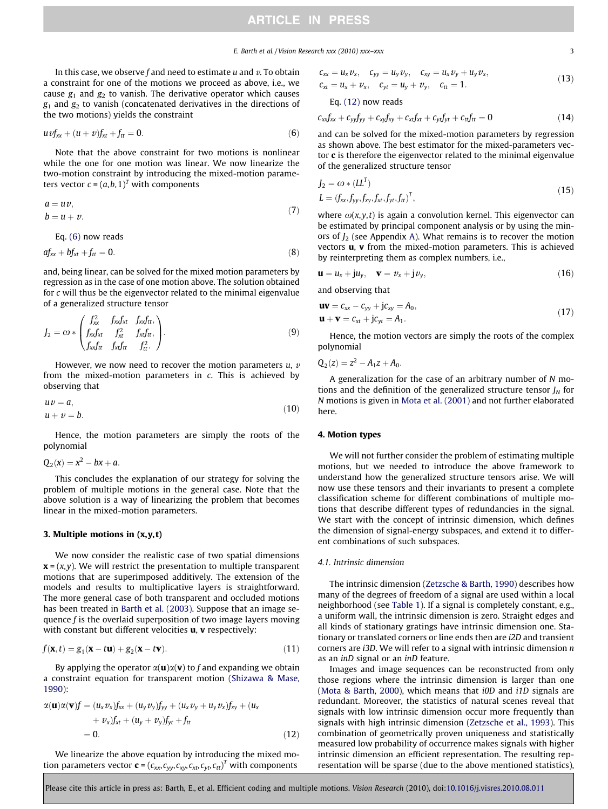E. Barth et al. / Vision Research xxx (2010) xxx–xxx 3

<span id="page-2-0"></span>In this case, we observe f and need to estimate u and  $\nu$ . To obtain a constraint for one of the motions we proceed as above, i.e., we cause  $g_1$  and  $g_2$  to vanish. The derivative operator which causes  $g_1$  and  $g_2$  to vanish (concatenated derivatives in the directions of the two motions) yields the constraint

$$
u v f_{xx} + (u + v) f_{xt} + f_{tt} = 0.
$$
 (6)

Note that the above constraint for two motions is nonlinear while the one for one motion was linear. We now linearize the two-motion constraint by introducing the mixed-motion parameters vector  $c = (a, b, 1)^T$  with components

$$
a = uv,
$$
  
\n
$$
b = u + v.
$$
\n(7)

Eq. (6) now reads

$$
af_{xx} + bf_{xt} + f_{tt} = 0. \tag{8}
$$

and, being linear, can be solved for the mixed motion parameters by regression as in the case of one motion above. The solution obtained for c will thus be the eigenvector related to the minimal eigenvalue of a generalized structure tensor

$$
J_2 = \omega * \begin{pmatrix} f_{xx}^2 & f_{xx}f_{xt} & f_{xx}f_{tt}, \\ f_{xx}f_{xt} & f_{xt}^2 & f_{xt}f_{tt}, \\ f_{xx}f_{tt} & f_{xt}f_{tt} & f_{tt}^2. \end{pmatrix} . \tag{9}
$$

However, we now need to recover the motion parameters  $u, v$ from the mixed-motion parameters in c. This is achieved by observing that

$$
uv = u,
$$
  
 
$$
u + v = b.
$$
 (10)

Hence, the motion parameters are simply the roots of the polynomial

$$
Q_2(x) = x^2 - bx + a.
$$

 $\ldots$ 

This concludes the explanation of our strategy for solving the problem of multiple motions in the general case. Note that the above solution is a way of linearizing the problem that becomes linear in the mixed-motion parameters.

## 3. Multiple motions in  $(x, y, t)$

We now consider the realistic case of two spatial dimensions  $\mathbf{x} = (x, y)$ . We will restrict the presentation to multiple transparent motions that are superimposed additively. The extension of the models and results to multiplicative layers is straightforward. The more general case of both transparent and occluded motions has been treated in [Barth et al. \(2003\)](#page-9-0). Suppose that an image sequence  $f$  is the overlaid superposition of two image layers moving with constant but different velocities **u**, **v** respectively:

$$
f(\mathbf{x},t) = g_1(\mathbf{x} - t\mathbf{u}) + g_2(\mathbf{x} - t\mathbf{v}).
$$
\n(11)

By applying the operator  $\alpha(\mathbf{u})\alpha(\mathbf{v})$  to f and expanding we obtain a constraint equation for transparent motion [\(Shizawa & Mase,](#page-9-0) [1990\)](#page-9-0):

$$
\alpha(\mathbf{u})\alpha(\mathbf{v})f = (u_x v_x)f_{xx} + (u_y v_y)f_{yy} + (u_x v_y + u_y v_x)f_{xy} + (u_x + v_x)f_{xt} + (u_y + v_y)f_{yt} + f_{tt} = 0.
$$
 (12)

We linearize the above equation by introducing the mixed motion parameters vector  $\mathbf{c} = (c_{xx}, c_{yy}, c_{xy}, c_{xt}, c_{yt}, c_{tt})^T$  with components

$$
c_{xx} = u_x v_x, \quad c_{yy} = u_y v_y, \quad c_{xy} = u_x v_y + u_y v_x, c_{xt} = u_x + v_x, \quad c_{yt} = u_y + v_y, \quad c_{tt} = 1.
$$
 (13)

Eq. (12) now reads

$$
c_{xx}f_{xx} + c_{yy}f_{yy} + c_{xy}f_{xy} + c_{xt}f_{xt} + c_{yt}f_{yt} + c_{tt}f_{tt} = 0
$$
\n(14)

and can be solved for the mixed-motion parameters by regression as shown above. The best estimator for the mixed-parameters vector c is therefore the eigenvector related to the minimal eigenvalue of the generalized structure tensor

$$
J_2 = \omega * (LL^T)
$$
  
\n
$$
L = (f_{xx}, f_{yy}, f_{xy}, f_{xt}, f_{yt}, f_{tt})^T,
$$
\n(15)

where  $\omega(x,y,t)$  is again a convolution kernel. This eigenvector can be estimated by principal component analysis or by using the minors of  $I_2$  (see Appendix [A\)](#page-8-0). What remains is to recover the motion vectors u, v from the mixed-motion parameters. This is achieved by reinterpreting them as complex numbers, i.e.,

$$
\mathbf{u} = u_x + ju_y, \quad \mathbf{v} = v_x + jv_y,
$$
\n(16)

and observing that

$$
\mathbf{u}\mathbf{v} = c_{xx} - c_{yy} + jc_{xy} = A_0,
$$
  

$$
\mathbf{u} + \mathbf{v} = c_{xt} + jc_{yt} = A_1.
$$
 (17)

Hence, the motion vectors are simply the roots of the complex polynomial

$$
Q_2(z)=z^2-A_1z+A_0.
$$

A generalization for the case of an arbitrary number of N motions and the definition of the generalized structure tensor  $J_N$  for N motions is given in [Mota et al. \(2001\)](#page-9-0) and not further elaborated here.

# 4. Motion types

We will not further consider the problem of estimating multiple motions, but we needed to introduce the above framework to understand how the generalized structure tensors arise. We will now use these tensors and their invariants to present a complete classification scheme for different combinations of multiple motions that describe different types of redundancies in the signal. We start with the concept of intrinsic dimension, which defines the dimension of signal-energy subspaces, and extend it to different combinations of such subspaces.

### 4.1. Intrinsic dimension

The intrinsic dimension [\(Zetzsche & Barth, 1990\)](#page-9-0) describes how many of the degrees of freedom of a signal are used within a local neighborhood (see [Table 1\)](#page-3-0). If a signal is completely constant, e.g., a uniform wall, the intrinsic dimension is zero. Straight edges and all kinds of stationary gratings have intrinsic dimension one. Stationary or translated corners or line ends then are i2D and transient corners are  $i3D$ . We will refer to a signal with intrinsic dimension  $n$ as an inD signal or an inD feature.

Images and image sequences can be reconstructed from only those regions where the intrinsic dimension is larger than one ([Mota & Barth, 2000](#page-9-0)), which means that i0D and i1D signals are redundant. Moreover, the statistics of natural scenes reveal that signals with low intrinsic dimension occur more frequently than signals with high intrinsic dimension [\(Zetzsche et al., 1993](#page-9-0)). This combination of geometrically proven uniqueness and statistically measured low probability of occurrence makes signals with higher intrinsic dimension an efficient representation. The resulting representation will be sparse (due to the above mentioned statistics),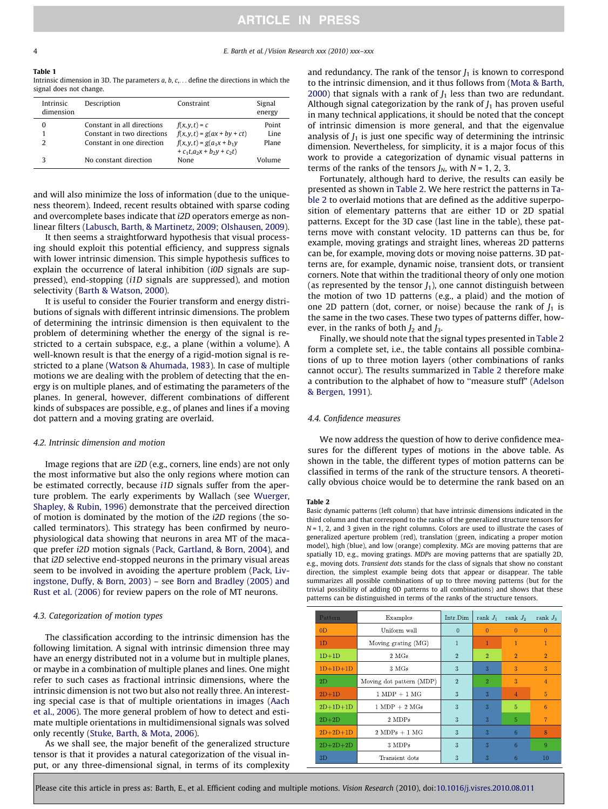# **ARTICLE IN PRESS**

<span id="page-3-0"></span>

#### Table 1

Intrinsic dimension in 3D. The parameters  $a, b, c, \ldots$  define the directions in which the signal does not change.

| Intrinsic<br>dimension | Description                                                                           | Constraint                                                                                                                   | Signal<br>energy       |
|------------------------|---------------------------------------------------------------------------------------|------------------------------------------------------------------------------------------------------------------------------|------------------------|
| 0<br>っ                 | Constant in all directions<br>Constant in two directions<br>Constant in one direction | $f(x, y, t) = c$<br>$f(x, y, t) = g(ax + by + ct)$<br>$f(x, y, t) = g(a_1x + b_1y)$<br>+ $c_1t$ , $a_2x$ + $b_2y$ + $c_2t$ ) | Point<br>Line<br>Plane |
| ર                      | No constant direction                                                                 | None                                                                                                                         | Volume                 |

and will also minimize the loss of information (due to the uniqueness theorem). Indeed, recent results obtained with sparse coding and overcomplete bases indicate that i2D operators emerge as nonlinear filters ([Labusch, Barth, & Martinetz, 2009; Olshausen, 2009\)](#page-9-0).

It then seems a straightforward hypothesis that visual processing should exploit this potential efficiency, and suppress signals with lower intrinsic dimension. This simple hypothesis suffices to explain the occurrence of lateral inhibition (i0D signals are suppressed), end-stopping (i1D signals are suppressed), and motion selectivity ([Barth & Watson, 2000\)](#page-9-0).

It is useful to consider the Fourier transform and energy distributions of signals with different intrinsic dimensions. The problem of determining the intrinsic dimension is then equivalent to the problem of determining whether the energy of the signal is restricted to a certain subspace, e.g., a plane (within a volume). A well-known result is that the energy of a rigid-motion signal is restricted to a plane ([Watson & Ahumada, 1983](#page-9-0)). In case of multiple motions we are dealing with the problem of detecting that the energy is on multiple planes, and of estimating the parameters of the planes. In general, however, different combinations of different kinds of subspaces are possible, e.g., of planes and lines if a moving dot pattern and a moving grating are overlaid.

#### 4.2. Intrinsic dimension and motion

Image regions that are i2D (e.g., corners, line ends) are not only the most informative but also the only regions where motion can be estimated correctly, because i1D signals suffer from the aperture problem. The early experiments by Wallach (see [Wuerger,](#page-9-0) [Shapley, & Rubin, 1996](#page-9-0)) demonstrate that the perceived direction of motion is dominated by the motion of the i2D regions (the socalled terminators). This strategy has been confirmed by neurophysiological data showing that neurons in area MT of the macaque prefer i2D motion signals [\(Pack, Gartland, & Born, 2004\)](#page-9-0), and that i2D selective end-stopped neurons in the primary visual areas seem to be involved in avoiding the aperture problem [\(Pack, Liv](#page-9-0)[ingstone, Duffy, & Born, 2003\)](#page-9-0) – see [Born and Bradley \(2005\) and](#page-9-0) [Rust et al. \(2006\)](#page-9-0) for review papers on the role of MT neurons.

#### 4.3. Categorization of motion types

The classification according to the intrinsic dimension has the following limitation. A signal with intrinsic dimension three may have an energy distributed not in a volume but in multiple planes, or maybe in a combination of multiple planes and lines. One might refer to such cases as fractional intrinsic dimensions, where the intrinsic dimension is not two but also not really three. An interesting special case is that of multiple orientations in images [\(Aach](#page-9-0) [et al., 2006\)](#page-9-0). The more general problem of how to detect and estimate multiple orientations in multidimensional signals was solved only recently [\(Stuke, Barth, & Mota, 2006](#page-9-0)).

As we shall see, the major benefit of the generalized structure tensor is that it provides a natural categorization of the visual input, or any three-dimensional signal, in terms of its complexity

and redundancy. The rank of the tensor  $J_1$  is known to correspond to the intrinsic dimension, and it thus follows from [\(Mota & Barth,](#page-9-0) [2000](#page-9-0)) that signals with a rank of  $J_1$  less than two are redundant. Although signal categorization by the rank of  $J_1$  has proven useful in many technical applications, it should be noted that the concept of intrinsic dimension is more general, and that the eigenvalue analysis of  $J_1$  is just one specific way of determining the intrinsic dimension. Nevertheless, for simplicity, it is a major focus of this work to provide a categorization of dynamic visual patterns in terms of the ranks of the tensors  $J_N$ , with  $N = 1, 2, 3$ .

Fortunately, although hard to derive, the results can easily be presented as shown in Table 2. We here restrict the patterns in Table 2 to overlaid motions that are defined as the additive superposition of elementary patterns that are either 1D or 2D spatial patterns. Except for the 3D case (last line in the table), these patterns move with constant velocity. 1D patterns can thus be, for example, moving gratings and straight lines, whereas 2D patterns can be, for example, moving dots or moving noise patterns. 3D patterns are, for example, dynamic noise, transient dots, or transient corners. Note that within the traditional theory of only one motion (as represented by the tensor  $J_1$ ), one cannot distinguish between the motion of two 1D patterns (e.g., a plaid) and the motion of one 2D pattern (dot, corner, or noise) because the rank of  $J_1$  is the same in the two cases. These two types of patterns differ, however, in the ranks of both  $J_2$  and  $J_3$ .

Finally, we should note that the signal types presented in Table 2 form a complete set, i.e., the table contains all possible combinations of up to three motion layers (other combinations of ranks cannot occur). The results summarized in Table 2 therefore make a contribution to the alphabet of how to ''measure stuff" ([Adelson](#page-9-0) [& Bergen, 1991\)](#page-9-0).

#### 4.4. Confidence measures

We now address the question of how to derive confidence measures for the different types of motions in the above table. As shown in the table, the different types of motion patterns can be classified in terms of the rank of the structure tensors. A theoretically obvious choice would be to determine the rank based on an

#### Table 2

Basic dynamic patterns (left column) that have intrinsic dimensions indicated in the third column and that correspond to the ranks of the generalized structure tensors for  $N = 1$ , 2, and 3 given in the right columns. Colors are used to illustrate the cases of generalized aperture problem (red), translation (green, indicating a proper motion model), high (blue), and low (orange) complexity. MGs are moving patterns that are spatially 1D, e.g., moving gratings. MDPs are moving patterns that are spatially 2D, e.g., moving dots. Transient dots stands for the class of signals that show no constant direction, the simplest example being dots that appear or disappear. The table summarizes all possible combinations of up to three moving patterns (but for the trivial possibility of adding 0D patterns to all combinations) and shows that these patterns can be distinguished in terms of the ranks of the structure tensors.

| Pattern        | Examples                        | Intr.Dim       | rank $J_1$     | rank $J_2$     | rank $J_3$     |
|----------------|---------------------------------|----------------|----------------|----------------|----------------|
| 0 <sub>D</sub> | Uniform wall                    | $\Omega$       | $\Omega$       | $\Omega$       | $\overline{0}$ |
| 1 <sub>D</sub> | Moving grating (MG)             | 1              | $\mathbf{1}$   | 1              | 1              |
| $1D+1D$        | $2\overline{MGs}$               | $\overline{2}$ | $\overline{2}$ | $\overline{2}$ | $\overline{2}$ |
| $1D+1D+1D$     | 3 MGs                           | 3              | 3              | $\overline{3}$ | 3              |
| 2D             | Moving dot pattern (MDP)        | $\overline{2}$ | $\overline{2}$ | 3              | $\overline{4}$ |
| $2D+1D$        | $1 \text{ MDP} + 1 \text{ MG}$  | 3              | $\overline{3}$ | $\overline{4}$ | 5              |
| $2D+1D+1D$     | $1 \text{ MDP} + 2 \text{ MGs}$ | 3              | $\overline{3}$ | $\overline{5}$ | 6              |
| $2D+2D$        | 2 MDPs                          | 3              | $\overline{3}$ | $\overline{5}$ | $\overline{7}$ |
| $2D+2D+1D$     | $2 \text{ MDPs} + 1 \text{ MG}$ | 3              | $\overline{3}$ | 6              | 8              |
| $2D+2D+2D$     | 3 MDPs                          | 3              | $\mathbf{3}$   | 6              | 9              |
| 3D             | Transient dots                  | 3              | 3              | 6              | 10             |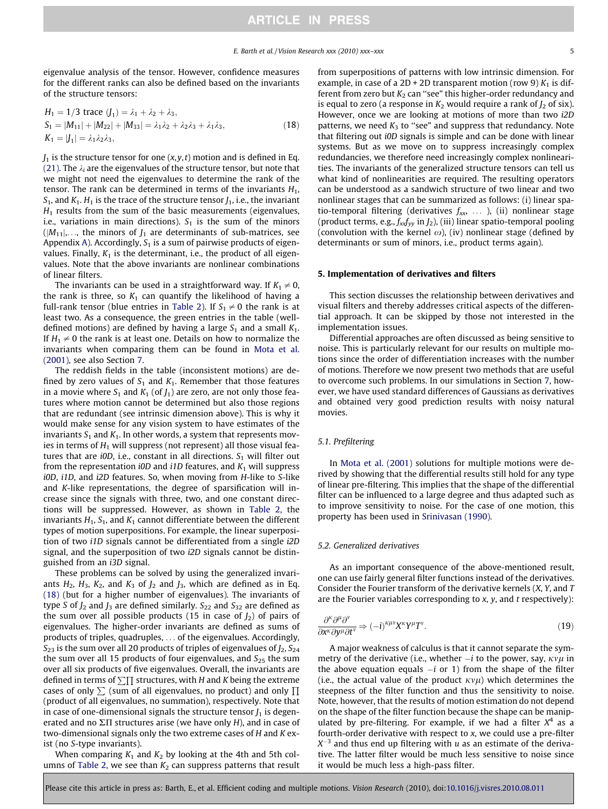<span id="page-4-0"></span>eigenvalue analysis of the tensor. However, confidence measures for the different ranks can also be defined based on the invariants of the structure tensors:

$$
H_1 = 1/3 \text{ trace } (J_1) = \lambda_1 + \lambda_2 + \lambda_3,S_1 = |M_{11}| + |M_{22}| + |M_{33}| = \lambda_1 \lambda_2 + \lambda_2 \lambda_3 + \lambda_1 \lambda_3,K_1 = |J_1| = \lambda_1 \lambda_2 \lambda_3,
$$
 (18)

 $J_1$  is the structure tensor for one  $(x, y, t)$  motion and is defined in Eq. [\(21\).](#page-8-0) The  $\lambda_i$  are the eigenvalues of the structure tensor, but note that we might not need the eigenvalues to determine the rank of the tensor. The rank can be determined in terms of the invariants  $H_1$ ,  $S_1$ , and  $K_1$ .  $H_1$  is the trace of the structure tensor  $J_1$ , i.e., the invariant  $H_1$  results from the sum of the basic measurements (eigenvalues, i.e., variations in main directions).  $S_1$  is the sum of the minors  $(|M_{11}|,...,$  the minors of  $J_1$  are determinants of sub-matrices, see [A](#page-8-0)ppendix A). Accordingly,  $S_1$  is a sum of pairwise products of eigenvalues. Finally,  $K_1$  is the determinant, i.e., the product of all eigenvalues. Note that the above invariants are nonlinear combinations of linear filters.

The invariants can be used in a straightforward way. If  $K_1 \neq 0$ , the rank is three, so  $K_1$  can quantify the likelihood of having a full-rank tensor (blue entries in [Table 2](#page-3-0)). If  $S_1 \neq 0$  the rank is at least two. As a consequence, the green entries in the table (welldefined motions) are defined by having a large  $S_1$  and a small  $K_1$ . If  $H_1 \neq 0$  the rank is at least one. Details on how to normalize the invariants when comparing them can be found in [Mota et al.](#page-9-0) [\(2001\)](#page-9-0), see also Section [7](#page-5-0).

The reddish fields in the table (inconsistent motions) are defined by zero values of  $S_1$  and  $K_1$ . Remember that those features in a movie where  $S_1$  and  $K_1$  (of  $J_1$ ) are zero, are not only those features where motion cannot be determined but also those regions that are redundant (see intrinsic dimension above). This is why it would make sense for any vision system to have estimates of the invariants  $S_1$  and  $K_1$ . In other words, a system that represents movies in terms of  $H_1$  will suppress (not represent) all those visual features that are *iOD*, i.e., constant in all directions.  $S_1$  will filter out from the representation *iOD* and *i1D* features, and  $K_1$  will suppress i0D, i1D, and i2D features. So, when moving from H-like to S-like and K-like representations, the degree of sparsification will increase since the signals with three, two, and one constant directions will be suppressed. However, as shown in [Table 2,](#page-3-0) the invariants  $H_1$ ,  $S_1$ , and  $K_1$  cannot differentiate between the different types of motion superpositions. For example, the linear superposition of two i1D signals cannot be differentiated from a single i2D signal, and the superposition of two i2D signals cannot be distinguished from an i3D signal.

These problems can be solved by using the generalized invariants  $H_2$ ,  $H_3$ ,  $K_2$ , and  $K_3$  of  $J_2$  and  $J_3$ , which are defined as in Eq. (18) (but for a higher number of eigenvalues). The invariants of type S of  $J_2$  and  $J_3$  are defined similarly.  $S_{22}$  and  $S_{32}$  are defined as the sum over all possible products (15 in case of  $J_2$ ) of pairs of eigenvalues. The higher-order invariants are defined as sums of products of triples, quadruples, ... of the eigenvalues. Accordingly,  $S_{23}$  is the sum over all 20 products of triples of eigenvalues of  $J_2$ ,  $S_{24}$ the sum over all 15 products of four eigenvalues, and  $S_{25}$  the sum over all six products of five eigenvalues. Overall, the invariants are defined in terms of  $\sum \prod$  structures, with H and K being the extreme cases of only  $\sum$  (sum of all eigenvalues, no product) and only  $\prod$ (product of all eigenvalues, no summation), respectively. Note that in case of one-dimensional signals the structure tensor  $J_1$  is degenerated and no  $\Sigma\Pi$  structures arise (we have only H), and in case of two-dimensional signals only the two extreme cases of H and K exist (no S-type invariants).

When comparing  $K_1$  and  $K_2$  by looking at the 4th and 5th col-umns of [Table 2](#page-3-0), we see than  $K_2$  can suppress patterns that result from superpositions of patterns with low intrinsic dimension. For example, in case of a  $2D + 2D$  transparent motion (row 9)  $K_1$  is different from zero but  $K_2$  can "see" this higher-order redundancy and is equal to zero (a response in  $K_2$  would require a rank of  $J_2$  of six). However, once we are looking at motions of more than two i2D patterns, we need  $K_3$  to "see" and suppress that redundancy. Note that filtering out i0D signals is simple and can be done with linear systems. But as we move on to suppress increasingly complex redundancies, we therefore need increasingly complex nonlinearities. The invariants of the generalized structure tensors can tell us what kind of nonlinearities are required. The resulting operators can be understood as a sandwich structure of two linear and two nonlinear stages that can be summarized as follows: (i) linear spatio-temporal filtering (derivatives  $f_{xx}$ , ... ), (ii) nonlinear stage (product terms, e.g.,  $f_{xx}f_{yy}$  in  $J_2$ ), (iii) linear spatio-temporal pooling (convolution with the kernel  $\omega$ ), (iv) nonlinear stage (defined by determinants or sum of minors, i.e., product terms again).

#### 5. Implementation of derivatives and filters

This section discusses the relationship between derivatives and visual filters and thereby addresses critical aspects of the differential approach. It can be skipped by those not interested in the implementation issues.

Differential approaches are often discussed as being sensitive to noise. This is particularly relevant for our results on multiple motions since the order of differentiation increases with the number of motions. Therefore we now present two methods that are useful to overcome such problems. In our simulations in Section [7](#page-5-0), however, we have used standard differences of Gaussians as derivatives and obtained very good prediction results with noisy natural movies.

### 5.1. Prefiltering

In [Mota et al. \(2001\)](#page-9-0) solutions for multiple motions were derived by showing that the differential results still hold for any type of linear pre-filtering. This implies that the shape of the differential filter can be influenced to a large degree and thus adapted such as to improve sensitivity to noise. For the case of one motion, this property has been used in [Srinivasan \(1990\)](#page-9-0).

#### 5.2. Generalized derivatives

As an important consequence of the above-mentioned result, one can use fairly general filter functions instead of the derivatives. Consider the Fourier transform of the derivative kernels  $(X, Y, Z)$  and  $T$ are the Fourier variables corresponding to  $x$ ,  $y$ , and  $t$  respectively):

$$
\frac{\partial^{\kappa} \partial^{\mu} \partial^{\nu}}{\partial x^{\kappa} \partial y^{\mu} \partial t^{\nu}} \Rightarrow (-i)^{\kappa \mu \nu} X^{\kappa} Y^{\mu} T^{\nu}.
$$
\n(19)

A major weakness of calculus is that it cannot separate the symmetry of the derivative (i.e., whether  $-i$  to the power, say,  $\kappa v \mu$  in the above equation equals  $-i$  or 1) from the shape of the filter (i.e., the actual value of the product  $\kappa v \mu$ ) which determines the steepness of the filter function and thus the sensitivity to noise. Note, however, that the results of motion estimation do not depend on the shape of the filter function because the shape can be manipulated by pre-filtering. For example, if we had a filter  $X<sup>4</sup>$  as a fourth-order derivative with respect to  $x$ , we could use a pre-filter  $X^{-3}$  and thus end up filtering with u as an estimate of the derivative. The latter filter would be much less sensitive to noise since it would be much less a high-pass filter.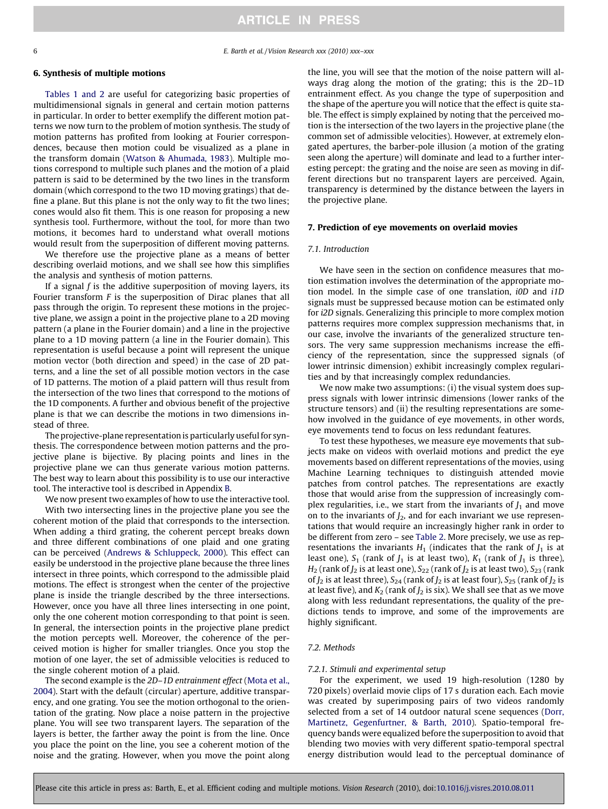<span id="page-5-0"></span>6 E. Barth et al. / Vision Research xxx (2010) xxx–xxx

# 6. Synthesis of multiple motions

[Tables 1 and 2](#page-3-0) are useful for categorizing basic properties of multidimensional signals in general and certain motion patterns in particular. In order to better exemplify the different motion patterns we now turn to the problem of motion synthesis. The study of motion patterns has profited from looking at Fourier correspondences, because then motion could be visualized as a plane in the transform domain ([Watson & Ahumada, 1983\)](#page-9-0). Multiple motions correspond to multiple such planes and the motion of a plaid pattern is said to be determined by the two lines in the transform domain (which correspond to the two 1D moving gratings) that define a plane. But this plane is not the only way to fit the two lines; cones would also fit them. This is one reason for proposing a new synthesis tool. Furthermore, without the tool, for more than two motions, it becomes hard to understand what overall motions would result from the superposition of different moving patterns.

We therefore use the projective plane as a means of better describing overlaid motions, and we shall see how this simplifies the analysis and synthesis of motion patterns.

If a signal  $f$  is the additive superposition of moving layers, its Fourier transform  $F$  is the superposition of Dirac planes that all pass through the origin. To represent these motions in the projective plane, we assign a point in the projective plane to a 2D moving pattern (a plane in the Fourier domain) and a line in the projective plane to a 1D moving pattern (a line in the Fourier domain). This representation is useful because a point will represent the unique motion vector (both direction and speed) in the case of 2D patterns, and a line the set of all possible motion vectors in the case of 1D patterns. The motion of a plaid pattern will thus result from the intersection of the two lines that correspond to the motions of the 1D components. A further and obvious benefit of the projective plane is that we can describe the motions in two dimensions instead of three.

The projective-plane representation is particularly useful for synthesis. The correspondence between motion patterns and the projective plane is bijective. By placing points and lines in the projective plane we can thus generate various motion patterns. The best way to learn about this possibility is to use our interactive tool. The interactive tool is described in Appendix [B](#page-8-0).

We now present two examples of how to use the interactive tool. With two intersecting lines in the projective plane you see the coherent motion of the plaid that corresponds to the intersection. When adding a third grating, the coherent percept breaks down and three different combinations of one plaid and one grating can be perceived [\(Andrews & Schluppeck, 2000](#page-9-0)). This effect can easily be understood in the projective plane because the three lines intersect in three points, which correspond to the admissible plaid motions. The effect is strongest when the center of the projective plane is inside the triangle described by the three intersections. However, once you have all three lines intersecting in one point, only the one coherent motion corresponding to that point is seen. In general, the intersection points in the projective plane predict the motion percepts well. Moreover, the coherence of the perceived motion is higher for smaller triangles. Once you stop the motion of one layer, the set of admissible velocities is reduced to the single coherent motion of a plaid.

The second example is the 2D–1D entrainment effect [\(Mota et al.,](#page-9-0) [2004\)](#page-9-0). Start with the default (circular) aperture, additive transparency, and one grating. You see the motion orthogonal to the orientation of the grating. Now place a noise pattern in the projective plane. You will see two transparent layers. The separation of the layers is better, the farther away the point is from the line. Once you place the point on the line, you see a coherent motion of the noise and the grating. However, when you move the point along the line, you will see that the motion of the noise pattern will always drag along the motion of the grating; this is the 2D–1D entrainment effect. As you change the type of superposition and the shape of the aperture you will notice that the effect is quite stable. The effect is simply explained by noting that the perceived motion is the intersection of the two layers in the projective plane (the common set of admissible velocities). However, at extremely elongated apertures, the barber-pole illusion (a motion of the grating seen along the aperture) will dominate and lead to a further interesting percept: the grating and the noise are seen as moving in different directions but no transparent layers are perceived. Again, transparency is determined by the distance between the layers in the projective plane.

#### 7. Prediction of eye movements on overlaid movies

### 7.1. Introduction

We have seen in the section on confidence measures that motion estimation involves the determination of the appropriate motion model. In the simple case of one translation, i0D and i1D signals must be suppressed because motion can be estimated only for i2D signals. Generalizing this principle to more complex motion patterns requires more complex suppression mechanisms that, in our case, involve the invariants of the generalized structure tensors. The very same suppression mechanisms increase the efficiency of the representation, since the suppressed signals (of lower intrinsic dimension) exhibit increasingly complex regularities and by that increasingly complex redundancies.

We now make two assumptions: (i) the visual system does suppress signals with lower intrinsic dimensions (lower ranks of the structure tensors) and (ii) the resulting representations are somehow involved in the guidance of eye movements, in other words, eye movements tend to focus on less redundant features.

To test these hypotheses, we measure eye movements that subjects make on videos with overlaid motions and predict the eye movements based on different representations of the movies, using Machine Learning techniques to distinguish attended movie patches from control patches. The representations are exactly those that would arise from the suppression of increasingly complex regularities, i.e., we start from the invariants of  $J_1$  and move on to the invariants of  $J_2$ , and for each invariant we use representations that would require an increasingly higher rank in order to be different from zero – see [Table 2.](#page-3-0) More precisely, we use as representations the invariants  $H_1$  (indicates that the rank of  $J_1$  is at least one),  $S_1$  (rank of  $J_1$  is at least two),  $K_1$  (rank of  $J_1$  is three),  $H_2$  (rank of  $J_2$  is at least one),  $S_{22}$  (rank of  $J_2$  is at least two),  $S_{23}$  (rank of  $J_2$  is at least three),  $S_{24}$  (rank of  $J_2$  is at least four),  $S_{25}$  (rank of  $J_2$  is at least five), and  $K_2$  (rank of  $J_2$  is six). We shall see that as we move along with less redundant representations, the quality of the predictions tends to improve, and some of the improvements are highly significant.

### 7.2. Methods

# 7.2.1. Stimuli and experimental setup

For the experiment, we used 19 high-resolution (1280 by 720 pixels) overlaid movie clips of 17 s duration each. Each movie was created by superimposing pairs of two videos randomly selected from a set of 14 outdoor natural scene sequences ([Dorr,](#page-9-0) [Martinetz, Gegenfurtner, & Barth, 2010\)](#page-9-0). Spatio-temporal frequency bands were equalized before the superposition to avoid that blending two movies with very different spatio-temporal spectral energy distribution would lead to the perceptual dominance of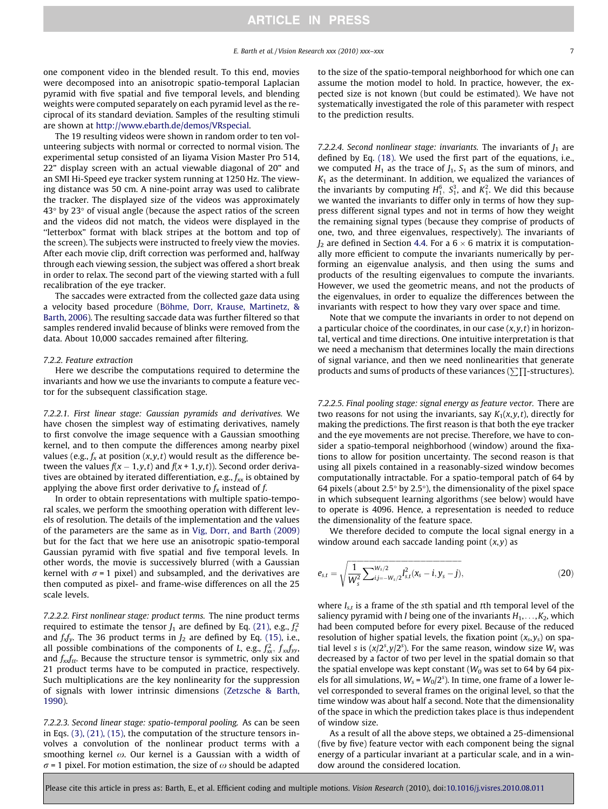one component video in the blended result. To this end, movies were decomposed into an anisotropic spatio-temporal Laplacian pyramid with five spatial and five temporal levels, and blending weights were computed separately on each pyramid level as the reciprocal of its standard deviation. Samples of the resulting stimuli are shown at [http://www.ebarth.de/demos/VRspecial](http://www.ebarth.de/demos/).

The 19 resulting videos were shown in random order to ten volunteering subjects with normal or corrected to normal vision. The experimental setup consisted of an Iiyama Vision Master Pro 514, 22" display screen with an actual viewable diagonal of 20" and an SMI Hi-Speed eye tracker system running at 1250 Hz. The viewing distance was 50 cm. A nine-point array was used to calibrate the tracker. The displayed size of the videos was approximately  $43°$  by 23° of visual angle (because the aspect ratios of the screen and the videos did not match, the videos were displayed in the ''letterbox" format with black stripes at the bottom and top of the screen). The subjects were instructed to freely view the movies. After each movie clip, drift correction was performed and, halfway through each viewing session, the subject was offered a short break in order to relax. The second part of the viewing started with a full recalibration of the eye tracker.

The saccades were extracted from the collected gaze data using a velocity based procedure ([Böhme, Dorr, Krause, Martinetz, &](#page-9-0) [Barth, 2006\)](#page-9-0). The resulting saccade data was further filtered so that samples rendered invalid because of blinks were removed from the data. About 10,000 saccades remained after filtering.

#### 7.2.2. Feature extraction

Here we describe the computations required to determine the invariants and how we use the invariants to compute a feature vector for the subsequent classification stage.

7.2.2.1. First linear stage: Gaussian pyramids and derivatives. We have chosen the simplest way of estimating derivatives, namely to first convolve the image sequence with a Gaussian smoothing kernel, and to then compute the differences among nearby pixel values (e.g.,  $f_x$  at position  $(x, y, t)$  would result as the difference between the values  $f(x-1,y,t)$  and  $f(x+1,y,t)$ ). Second order derivatives are obtained by iterated differentiation, e.g.,  $f_{xx}$  is obtained by applying the above first order derivative to  $f_x$  instead of f.

In order to obtain representations with multiple spatio-temporal scales, we perform the smoothing operation with different levels of resolution. The details of the implementation and the values of the parameters are the same as in [Vig, Dorr, and Barth \(2009\)](#page-9-0) but for the fact that we here use an anisotropic spatio-temporal Gaussian pyramid with five spatial and five temporal levels. In other words, the movie is successively blurred (with a Gaussian kernel with  $\sigma$  = 1 pixel) and subsampled, and the derivatives are then computed as pixel- and frame-wise differences on all the 25 scale levels.

7.2.2.2. First nonlinear stage: product terms. The nine product terms required to estimate the tensor  $J_1$  are defined by Eq. [\(21\),](#page-8-0) e.g.,  $f_\text{\tiny X}^2$ and  $f_x f_y$ . The 36 product terms in  $J_2$  are defined by Eq. [\(15\),](#page-2-0) i.e., all possible combinations of the components of L, e.g.,  $f_{xx}^2, f_{xx}f_{yy}$ , and  $f_{xx}f_{tt}$ . Because the structure tensor is symmetric, only six and 21 product terms have to be computed in practice, respectively. Such multiplications are the key nonlinearity for the suppression of signals with lower intrinsic dimensions ([Zetzsche & Barth,](#page-9-0) [1990\)](#page-9-0).

7.2.2.3. Second linear stage: spatio-temporal pooling. As can be seen in Eqs. [\(3\), \(21\), \(15\),](#page-1-0) the computation of the structure tensors involves a convolution of the nonlinear product terms with a smoothing kernel  $\omega$ . Our kernel is a Gaussian with a width of  $\sigma$  = 1 pixel. For motion estimation, the size of  $\omega$  should be adapted to the size of the spatio-temporal neighborhood for which one can assume the motion model to hold. In practice, however, the expected size is not known (but could be estimated). We have not systematically investigated the role of this parameter with respect to the prediction results.

7.2.2.4. Second nonlinear stage: invariants. The invariants of  $J_1$  are defined by Eq. [\(18\)](#page-4-0). We used the first part of the equations, i.e., we computed  $H_1$  as the trace of  $J_1$ ,  $S_1$  as the sum of minors, and  $K<sub>1</sub>$  as the determinant. In addition, we equalized the variances of the invariants by computing  $H_1^6$ ,  $S_1^3$ , and  $K_1^2$ . We did this because we wanted the invariants to differ only in terms of how they suppress different signal types and not in terms of how they weight the remaining signal types (because they comprise of products of one, two, and three eigenvalues, respectively). The invariants of  $J_2$  are defined in Section [4.4](#page-3-0). For a 6  $\times$  6 matrix it is computationally more efficient to compute the invariants numerically by performing an eigenvalue analysis, and then using the sums and products of the resulting eigenvalues to compute the invariants. However, we used the geometric means, and not the products of the eigenvalues, in order to equalize the differences between the invariants with respect to how they vary over space and time.

Note that we compute the invariants in order to not depend on a particular choice of the coordinates, in our case  $(x, y, t)$  in horizontal, vertical and time directions. One intuitive interpretation is that we need a mechanism that determines locally the main directions of signal variance, and then we need nonlinearities that generate products and sums of products of these variances ( $\sum_{n=1}^{\infty}$ -structures).

7.2.2.5. Final pooling stage: signal energy as feature vector. There are two reasons for not using the invariants, say  $K_1(x, y, t)$ , directly for making the predictions. The first reason is that both the eye tracker and the eye movements are not precise. Therefore, we have to consider a spatio-temporal neighborhood (window) around the fixations to allow for position uncertainty. The second reason is that using all pixels contained in a reasonably-sized window becomes computationally intractable. For a spatio-temporal patch of 64 by 64 pixels (about 2.5 $\degree$  by 2.5 $\degree$ ), the dimensionality of the pixel space in which subsequent learning algorithms (see below) would have to operate is 4096. Hence, a representation is needed to reduce the dimensionality of the feature space.

We therefore decided to compute the local signal energy in a window around each saccade landing point  $(x, y)$  as

$$
e_{s,t} = \sqrt{\frac{1}{W_s^2} \sum_{i,j=-W_s/2}^{W_s/2} I_{s,t}^2(x_s - i, y_s - j)},
$$
\n(20)

where  $I_{s,t}$  is a frame of the sth spatial and tth temporal level of the saliency pyramid with *I* being one of the invariants  $H_1, \ldots, K_2$ , which had been computed before for every pixel. Because of the reduced resolution of higher spatial levels, the fixation point  $(x_s, y_s)$  on spatial level s is  $(x/2<sup>s</sup>, y/2<sup>s</sup>)$ . For the same reason, window size  $W_s$  was decreased by a factor of two per level in the spatial domain so that the spatial envelope was kept constant ( $W_0$  was set to 64 by 64 pixels for all simulations,  $W_s = W_0/2^s$ ). In time, one frame of a lower level corresponded to several frames on the original level, so that the time window was about half a second. Note that the dimensionality of the space in which the prediction takes place is thus independent of window size.

As a result of all the above steps, we obtained a 25-dimensional (five by five) feature vector with each component being the signal energy of a particular invariant at a particular scale, and in a window around the considered location.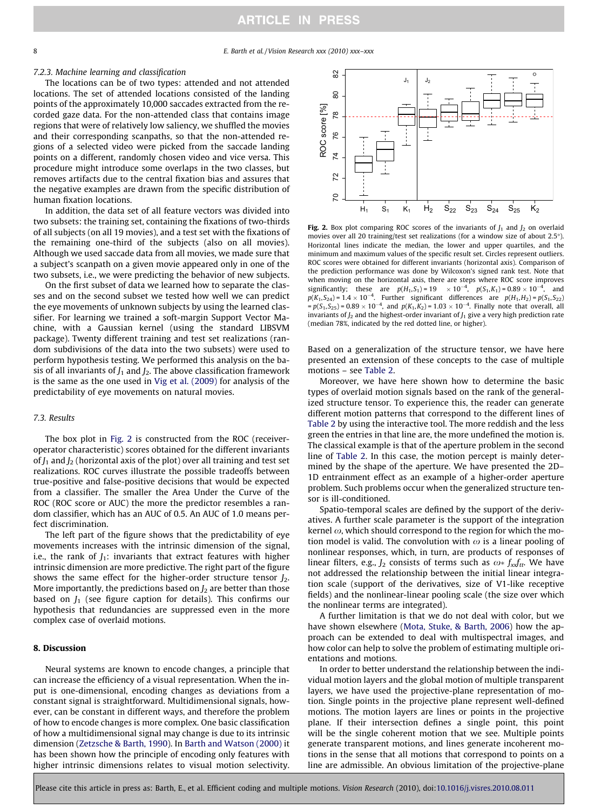<span id="page-7-0"></span>

#### 7.2.3. Machine learning and classification

The locations can be of two types: attended and not attended locations. The set of attended locations consisted of the landing points of the approximately 10,000 saccades extracted from the recorded gaze data. For the non-attended class that contains image regions that were of relatively low saliency, we shuffled the movies and their corresponding scanpaths, so that the non-attended regions of a selected video were picked from the saccade landing points on a different, randomly chosen video and vice versa. This procedure might introduce some overlaps in the two classes, but removes artifacts due to the central fixation bias and assures that the negative examples are drawn from the specific distribution of human fixation locations.

In addition, the data set of all feature vectors was divided into two subsets: the training set, containing the fixations of two-thirds of all subjects (on all 19 movies), and a test set with the fixations of the remaining one-third of the subjects (also on all movies). Although we used saccade data from all movies, we made sure that a subject's scanpath on a given movie appeared only in one of the two subsets, i.e., we were predicting the behavior of new subjects.

On the first subset of data we learned how to separate the classes and on the second subset we tested how well we can predict the eye movements of unknown subjects by using the learned classifier. For learning we trained a soft-margin Support Vector Machine, with a Gaussian kernel (using the standard LIBSVM package). Twenty different training and test set realizations (random subdivisions of the data into the two subsets) were used to perform hypothesis testing. We performed this analysis on the basis of all invariants of  $J_1$  and  $J_2$ . The above classification framework is the same as the one used in [Vig et al. \(2009\)](#page-9-0) for analysis of the predictability of eye movements on natural movies.

# 7.3. Results

The box plot in Fig. 2 is constructed from the ROC (receiveroperator characteristic) scores obtained for the different invariants of  $J_1$  and  $J_2$  (horizontal axis of the plot) over all training and test set realizations. ROC curves illustrate the possible tradeoffs between true-positive and false-positive decisions that would be expected from a classifier. The smaller the Area Under the Curve of the ROC (ROC score or AUC) the more the predictor resembles a random classifier, which has an AUC of 0.5. An AUC of 1.0 means perfect discrimination.

The left part of the figure shows that the predictability of eye movements increases with the intrinsic dimension of the signal, i.e., the rank of  $J_1$ : invariants that extract features with higher intrinsic dimension are more predictive. The right part of the figure shows the same effect for the higher-order structure tensor  $J_2$ . More importantly, the predictions based on  $J_2$  are better than those based on  $J_1$  (see figure caption for details). This confirms our hypothesis that redundancies are suppressed even in the more complex case of overlaid motions.

# 8. Discussion

Neural systems are known to encode changes, a principle that can increase the efficiency of a visual representation. When the input is one-dimensional, encoding changes as deviations from a constant signal is straightforward. Multidimensional signals, however, can be constant in different ways, and therefore the problem of how to encode changes is more complex. One basic classification of how a multidimensional signal may change is due to its intrinsic dimension ([Zetzsche & Barth, 1990](#page-9-0)). In [Barth and Watson \(2000\)](#page-9-0) it has been shown how the principle of encoding only features with higher intrinsic dimensions relates to visual motion selectivity.



Fig. 2. Box plot comparing ROC scores of the invariants of  $J_1$  and  $J_2$  on overlaid movies over all 20 training/test set realizations (for a window size of about 2.5°). Horizontal lines indicate the median, the lower and upper quartiles, and the minimum and maximum values of the specific result set. Circles represent outliers. ROC scores were obtained for different invariants (horizontal axis). Comparison of the prediction performance was done by Wilcoxon's signed rank test. Note that when moving on the horizontal axis, there are steps where ROC score improves significantly; these are  $p(H_1, S_1) = 19 \times 10^{-4}$ ,  $p(S_1, K_1) = 0.89 \times 10^{-4}$ , and  $p(K_1, S_{24}) = 1.4 \times 10^{-4}$ . Further significant differences are  $p(H_1, H_2) = p(S_1, S_{22}) = 0.89 \times 10^{-4}$ , and  $p(K_1, K_2) = 1.03 \times 10^{-4}$ . Finally note that overall, all invariants of  $J_2$  and the highest-order invariant of  $J_1$  give a very high prediction rate (median 78%, indicated by the red dotted line, or higher).

Based on a generalization of the structure tensor, we have here presented an extension of these concepts to the case of multiple motions – see [Table 2](#page-3-0).

Moreover, we have here shown how to determine the basic types of overlaid motion signals based on the rank of the generalized structure tensor. To experience this, the reader can generate different motion patterns that correspond to the different lines of [Table 2](#page-3-0) by using the interactive tool. The more reddish and the less green the entries in that line are, the more undefined the motion is. The classical example is that of the aperture problem in the second line of [Table 2](#page-3-0). In this case, the motion percept is mainly determined by the shape of the aperture. We have presented the 2D– 1D entrainment effect as an example of a higher-order aperture problem. Such problems occur when the generalized structure tensor is ill-conditioned.

Spatio-temporal scales are defined by the support of the derivatives. A further scale parameter is the support of the integration kernel  $\omega$ , which should correspond to the region for which the motion model is valid. The convolution with  $\omega$  is a linear pooling of nonlinear responses, which, in turn, are products of responses of linear filters, e.g.,  $J_2$  consists of terms such as  $\omega * f_{xx} f_{tt}$ . We have not addressed the relationship between the initial linear integration scale (support of the derivatives, size of V1-like receptive fields) and the nonlinear-linear pooling scale (the size over which the nonlinear terms are integrated).

A further limitation is that we do not deal with color, but we have shown elsewhere [\(Mota, Stuke, & Barth, 2006](#page-9-0)) how the approach can be extended to deal with multispectral images, and how color can help to solve the problem of estimating multiple orientations and motions.

In order to better understand the relationship between the individual motion layers and the global motion of multiple transparent layers, we have used the projective-plane representation of motion. Single points in the projective plane represent well-defined motions. The motion layers are lines or points in the projective plane. If their intersection defines a single point, this point will be the single coherent motion that we see. Multiple points generate transparent motions, and lines generate incoherent motions in the sense that all motions that correspond to points on a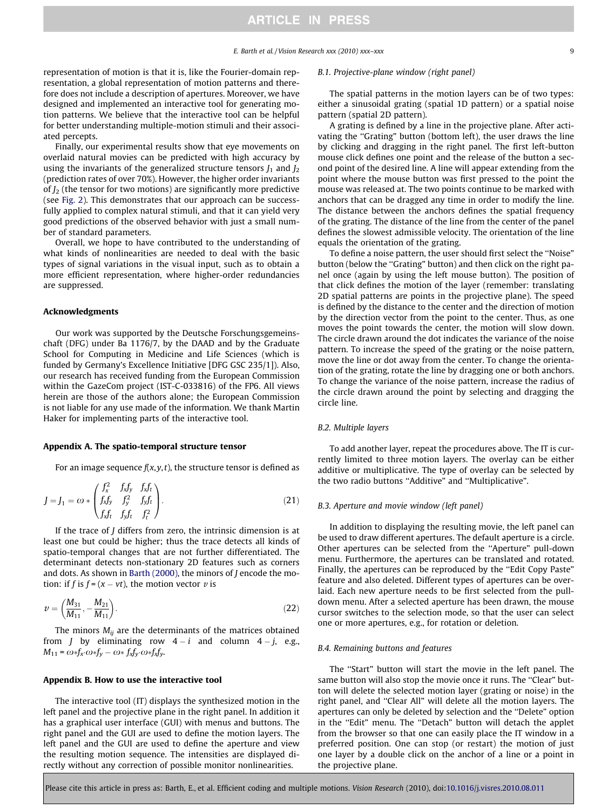<span id="page-8-0"></span>representation of motion is that it is, like the Fourier-domain representation, a global representation of motion patterns and therefore does not include a description of apertures. Moreover, we have designed and implemented an interactive tool for generating motion patterns. We believe that the interactive tool can be helpful for better understanding multiple-motion stimuli and their associated percepts.

Finally, our experimental results show that eye movements on overlaid natural movies can be predicted with high accuracy by using the invariants of the generalized structure tensors  $J_1$  and  $J_2$ (prediction rates of over 70%). However, the higher order invariants of  $J_2$  (the tensor for two motions) are significantly more predictive (see [Fig. 2](#page-7-0)). This demonstrates that our approach can be successfully applied to complex natural stimuli, and that it can yield very good predictions of the observed behavior with just a small number of standard parameters.

Overall, we hope to have contributed to the understanding of what kinds of nonlinearities are needed to deal with the basic types of signal variations in the visual input, such as to obtain a more efficient representation, where higher-order redundancies are suppressed.

#### Acknowledgments

Our work was supported by the Deutsche Forschungsgemeinschaft (DFG) under Ba 1176/7, by the DAAD and by the Graduate School for Computing in Medicine and Life Sciences (which is funded by Germany's Excellence Initiative [DFG GSC 235/1]). Also, our research has received funding from the European Commission within the GazeCom project (IST-C-033816) of the FP6. All views herein are those of the authors alone; the European Commission is not liable for any use made of the information. We thank Martin Haker for implementing parts of the interactive tool.

#### Appendix A. The spatio-temporal structure tensor

For an image sequence  $f(x, y, t)$ , the structure tensor is defined as

$$
J = J_1 = \omega * \begin{pmatrix} f_x^2 & f_x f_y & f_x f_t \\ f_x f_y & f_y^2 & f_y f_t \\ f_x f_t & f_y f_t & f_t^2 \end{pmatrix} .
$$
 (21)

If the trace of J differs from zero, the intrinsic dimension is at least one but could be higher; thus the trace detects all kinds of spatio-temporal changes that are not further differentiated. The determinant detects non-stationary 2D features such as corners and dots. As shown in [Barth \(2000\)](#page-9-0), the minors of J encode the motion: if f is  $f = (x - vt)$ , the motion vector v is

$$
v = \left(\frac{M_{31}}{M_{11}}, -\frac{M_{21}}{M_{11}}\right). \tag{22}
$$

The minors  $M_{ij}$  are the determinants of the matrices obtained from  $J$  by eliminating row  $4-i$  and column  $4-j$ , e.g.,  $M_{11} = \omega * f_x \cdot \omega * f_y - \omega * f_x f_y \cdot \omega * f_x f_y.$ 

### Appendix B. How to use the interactive tool

The interactive tool (IT) displays the synthesized motion in the left panel and the projective plane in the right panel. In addition it has a graphical user interface (GUI) with menus and buttons. The right panel and the GUI are used to define the motion layers. The left panel and the GUI are used to define the aperture and view the resulting motion sequence. The intensities are displayed directly without any correction of possible monitor nonlinearities.

#### B.1. Projective-plane window (right panel)

The spatial patterns in the motion layers can be of two types: either a sinusoidal grating (spatial 1D pattern) or a spatial noise pattern (spatial 2D pattern).

A grating is defined by a line in the projective plane. After activating the "Grating" button (bottom left), the user draws the line by clicking and dragging in the right panel. The first left-button mouse click defines one point and the release of the button a second point of the desired line. A line will appear extending from the point where the mouse button was first pressed to the point the mouse was released at. The two points continue to be marked with anchors that can be dragged any time in order to modify the line. The distance between the anchors defines the spatial frequency of the grating. The distance of the line from the center of the panel defines the slowest admissible velocity. The orientation of the line equals the orientation of the grating.

To define a noise pattern, the user should first select the ''Noise" button (below the "Grating" button) and then click on the right panel once (again by using the left mouse button). The position of that click defines the motion of the layer (remember: translating 2D spatial patterns are points in the projective plane). The speed is defined by the distance to the center and the direction of motion by the direction vector from the point to the center. Thus, as one moves the point towards the center, the motion will slow down. The circle drawn around the dot indicates the variance of the noise pattern. To increase the speed of the grating or the noise pattern, move the line or dot away from the center. To change the orientation of the grating, rotate the line by dragging one or both anchors. To change the variance of the noise pattern, increase the radius of the circle drawn around the point by selecting and dragging the circle line.

#### B.2. Multiple layers

To add another layer, repeat the procedures above. The IT is currently limited to three motion layers. The overlay can be either additive or multiplicative. The type of overlay can be selected by the two radio buttons ''Additive" and ''Multiplicative".

#### B.3. Aperture and movie window (left panel)

In addition to displaying the resulting movie, the left panel can be used to draw different apertures. The default aperture is a circle. Other apertures can be selected from the ''Aperture" pull-down menu. Furthermore, the apertures can be translated and rotated. Finally, the apertures can be reproduced by the ''Edit Copy Paste" feature and also deleted. Different types of apertures can be overlaid. Each new aperture needs to be first selected from the pulldown menu. After a selected aperture has been drawn, the mouse cursor switches to the selection mode, so that the user can select one or more apertures, e.g., for rotation or deletion.

#### B.4. Remaining buttons and features

The ''Start" button will start the movie in the left panel. The same button will also stop the movie once it runs. The "Clear" button will delete the selected motion layer (grating or noise) in the right panel, and ''Clear All" will delete all the motion layers. The apertures can only be deleted by selection and the ''Delete" option in the "Edit" menu. The "Detach" button will detach the applet from the browser so that one can easily place the IT window in a preferred position. One can stop (or restart) the motion of just one layer by a double click on the anchor of a line or a point in the projective plane.